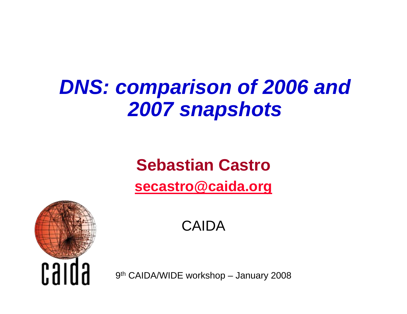# *DNS: comparison of 2006 and 2007 snapshots*

#### **Sebastian Castro[secastro@caida.org](mailto:secastro@caida.org)**



CAIDA

9th CAIDA/WIDE workshop – January 2008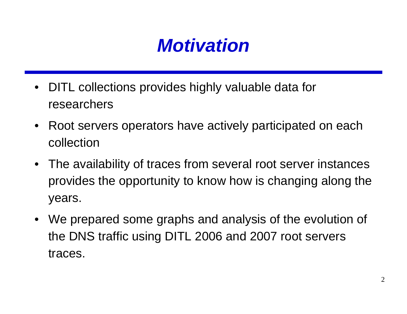

- DITL collections provides highly valuable data for researchers
- $\bullet$  Root servers operators have actively participated on each collection
- The availability of traces from several root server instances provides the opportunity to know how is changing along the years.
- We prepared some graphs and analysis of the evolution of the DNS traffic using DITL 2006 and 2007 root servers traces.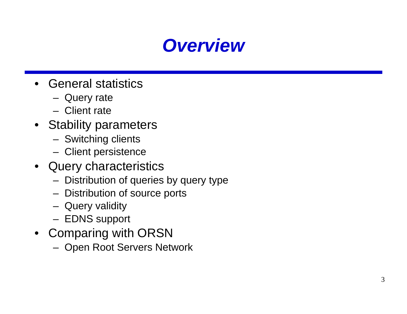

- General statistics
	- Query rate
	- Client rate
- Stability parameters
	- Switching clients
	- Client persistence
- Query characteristics
	- Distribution of queries by query type
	- Distribution of source ports
	- Query validity
	- EDNS support
- Comparing with ORSN
	- Open Root Servers Network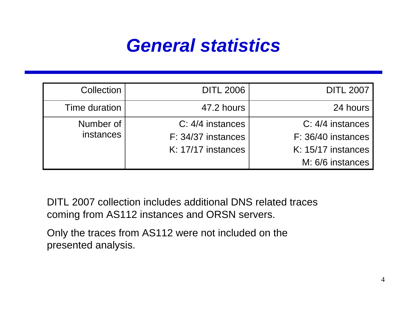#### *General statistics*

| Collection             | <b>DITL 2006</b>                                             | <b>DITL 2007</b>                                                                 |
|------------------------|--------------------------------------------------------------|----------------------------------------------------------------------------------|
| Time duration          | 47.2 hours                                                   | 24 hours                                                                         |
| Number of<br>instances | C: 4/4 instances<br>F: 34/37 instances<br>K: 17/17 instances | C: 4/4 instances<br>F: 36/40 instances<br>K: 15/17 instances<br>M: 6/6 instances |

DITL 2007 collection includes additional DNS related traces coming from AS112 instances and ORSN servers.

Only the traces from AS112 were not included on the presented analysis.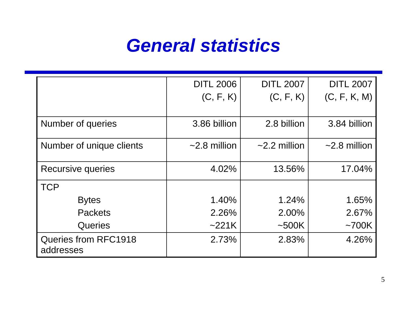#### *General statistics*

|                                          | <b>DITL 2006</b>   | <b>DITL 2007</b>   | <b>DITL 2007</b>   |
|------------------------------------------|--------------------|--------------------|--------------------|
|                                          | (C, F, K)          | (C, F, K)          | (C, F, K, M)       |
|                                          |                    |                    |                    |
| Number of queries                        | 3.86 billion       | 2.8 billion        | 3.84 billion       |
| Number of unique clients                 | $\sim$ 2.8 million | $\sim$ 2.2 million | $\sim$ 2.8 million |
| Recursive queries                        | 4.02%              | 13.56%             | 17.04%             |
| <b>TCP</b>                               |                    |                    |                    |
| <b>Bytes</b>                             | 1.40%              | 1.24%              | 1.65%              |
| <b>Packets</b>                           | 2.26%              | 2.00%              | 2.67%              |
| <b>Queries</b>                           | ~221K              | ~500K              | $~1$ 700K          |
| <b>Queries from RFC1918</b><br>addresses | 2.73%              | 2.83%              | 4.26%              |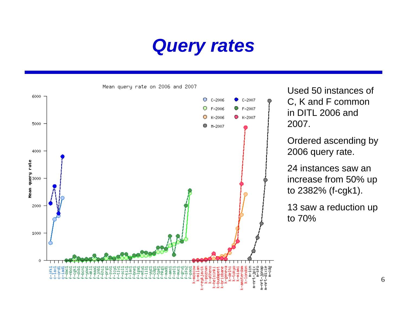



Used 50 instances of C, K and F common in DITL 2006 and 2007.

Ordered ascending by 2006 query rate.

24 instances saw an increase from 50% up to 2382% (f-cgk1).

13 saw a reduction up to 70%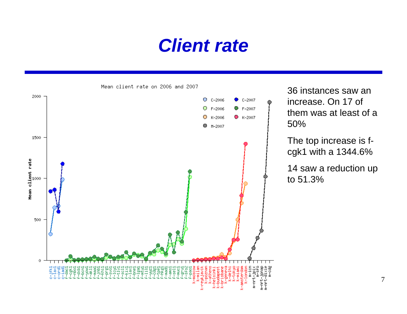#### *Client rate*



Mean client rate on 2006 and 2007

36 instances saw an increase. On 17 of them was at least of a 50%

The top increase is fcgk1 with a 1344.6%

14 saw a reduction up to 51.3%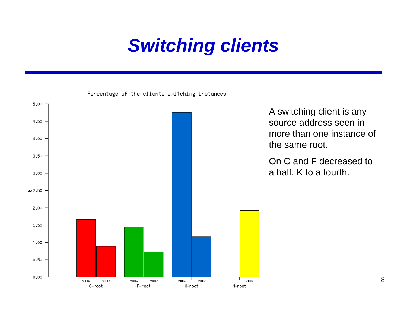## *Switching clients*

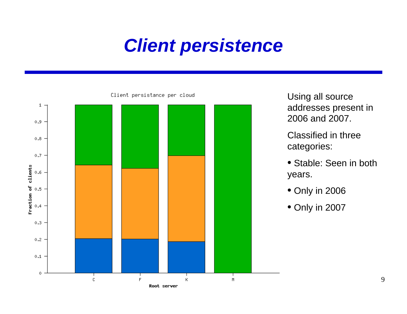### *Client persistence*



Using all source addresses present in 2006 and 2007.

Classified in three categories:

- Stable: Seen in both years.
- Only in 2006
- Only in 2007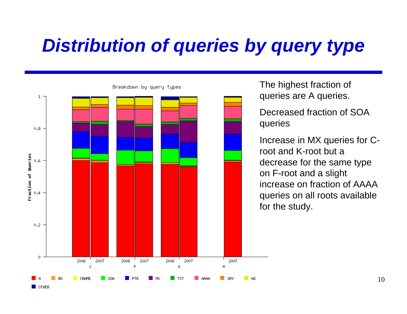# *Distribution of queries by query type*



**OTHER** 

The highest fraction of queries are A queries.

Decreased fraction of SOA queries

Increase in MX queries for Croot and K-root but a decrease for the same type on F-root and a slight increase on fraction of AAAA queries on all roots available for the study.

10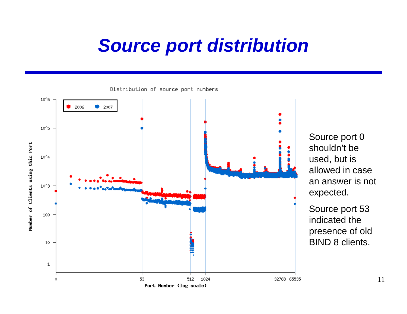#### *Source port distribution*



Source port 0 shouldn't be used, but is allowed in case an answer is not expected.

Source port 53 indicated the presence of old BIND 8 clients.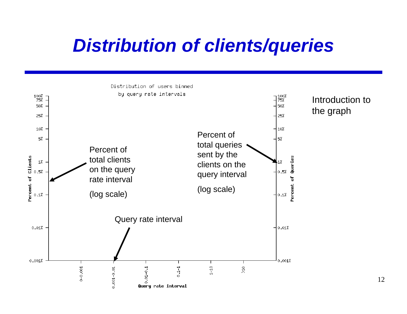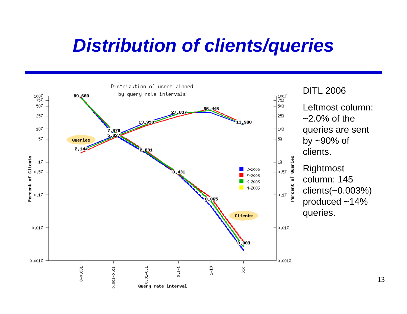

#### DITL 2006

Leftmost column:  $\approx$  2.0% of the queries are sent by ~90% of clients.

Rightmost column: 145 clients(~0.003%) produced ~14% queries.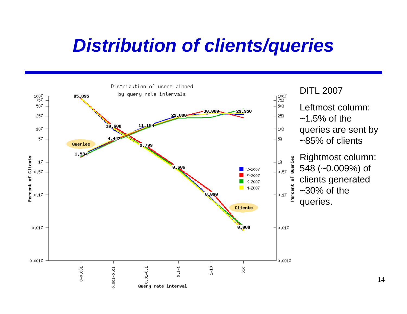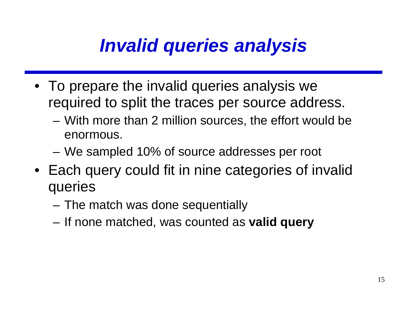# *Invalid queries analysis*

- To prepare the invalid queries analysis we required to split the traces per source address.
	- – With more than 2 million sources, the effort would be enormous.
	- We sampled 10% of source addresses per root
- Each query could fit in nine categories of invalid queries
	- The match was done sequentially
	- If none matched, was counted as **valid query**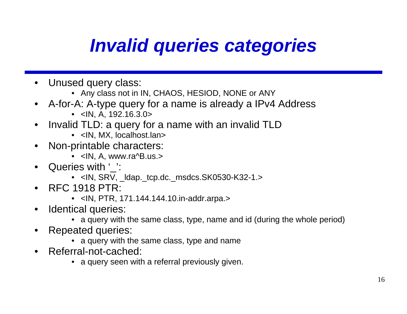# *Invalid queries categories*

- • Unused query class:
	- Any class not in IN, CHAOS, HESIOD, NONE or ANY
- • A-for-A: A-type query for a name is already a IPv4 Address
	- <IN, A, 192.16.3.0>
- $\bullet$  Invalid TLD: a query for a name with an invalid TLD
	- <IN, MX, localhost.lan>
- • Non-printable characters:
	- <IN, A, www.ra^B.us.>
- •Queries with '':
	- <IN, SRV, \_ldap.\_tcp.dc.\_msdcs.SK0530-K32-1.>
- • RFC 1918 PTR:
	- <IN, PTR, 171.144.144.10.in-addr.arpa.>
- • Identical queries:
	- a query with the same class, type, name and id (during the whole period)
- • Repeated queries:
	- a query with the same class, type and name
- • Referral-not-cached:
	- a query seen with a referral previously given.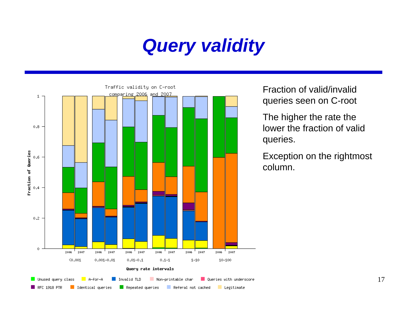## *Query validity*



Fraction of valid/invalid queries seen on C-root

The higher the rate the lower the fraction of valid queries.

Exception on the rightmost column.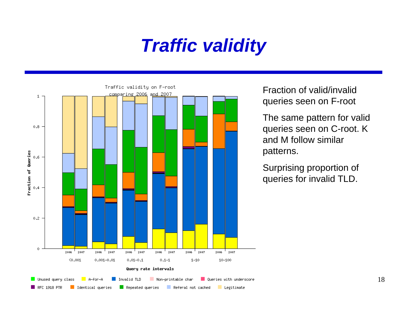## *Traffic validity*



Fraction of valid/invalid queries seen on F-root

The same pattern for valid queries seen on C-root. K and M follow similar patterns.

Surprising proportion of queries for invalid TLD.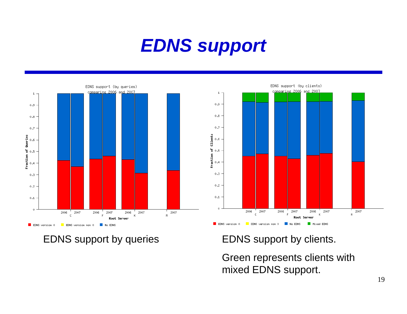## *EDNS support*

 $1$ .



 $0.9$  $0.8$  $0.7$ Fraction of Clients<br> $\begin{array}{ccc}\n\circ & \circ & \circ \\
\circ & \circ & \circ \\
\star & \circ & \circ\n\end{array}$  $0.3$  $0.2 0.1$ .  $\alpha$ 2006 2007 2006 2007 2007 2007 2006  $\mathbf{c}$  $\bar{\mathbf{r}}$  $\mathsf K$  $M$ Root Server  $\blacksquare$  EDNS version 0

EDNS support (bu clients)

comparing 2006 and 2007

EDNS support by queries EDNS support by clients.

EDNS version non 0

Green represents clients with mixed EDNS support.

No EDNS

Mixed EDNS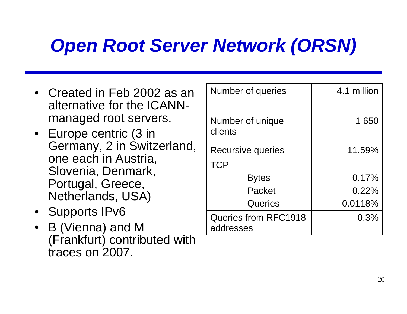# *Open Root Server Network (ORSN)*

- Created in Feb 2002 as an alternative for the ICANNmanaged root servers.
- Europe centric (3 in Germany, 2 in Switzerland, one each in Austria, Slovenia, Denmark, Portugal, Greece, Netherlands, USA)
- Supports IPv6
- B (Vienna) and M (Frankfurt) contributed with traces on 2007.

| Number of queries                        | 4.1 million |
|------------------------------------------|-------------|
| Number of unique<br>clients              | 1650        |
| Recursive queries                        | 11.59%      |
| <b>TCP</b>                               |             |
| <b>Bytes</b>                             | 0.17%       |
| Packet                                   | $0.22\%$    |
| Queries                                  | 0.0118%     |
| <b>Queries from RFC1918</b><br>addresses | 0.3%        |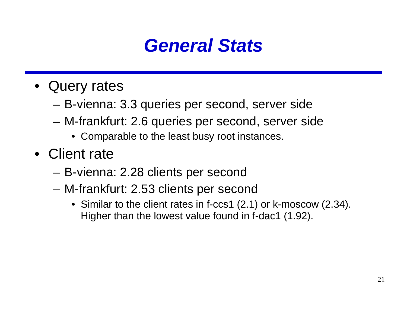

- Query rates
	- B-vienna: 3.3 queries per second, server side
	- M-frankfurt: 2.6 queries per second, server side
		- Comparable to the least busy root instances.
- Client rate
	- B-vienna: 2.28 clients per second
	- M-frankfurt: 2.53 clients per second
		- Similar to the client rates in f-ccs1 (2.1) or k-moscow (2.34). Higher than the lowest value found in f-dac1 (1.92).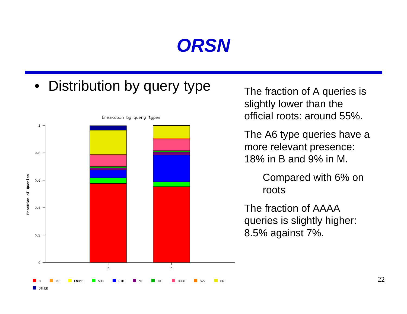#### *ORSN*

 $\bullet$ Distribution by query type The fraction of A queries is



**OTHER** 

Breakdown by query types

slightly lower than the official roots: around 55%.

The A6 type queries have a more relevant presence: 18% in B and 9% in M.

> Compared with 6% on roots

The fraction of AAAA queries is slightly higher: 8.5% against 7%.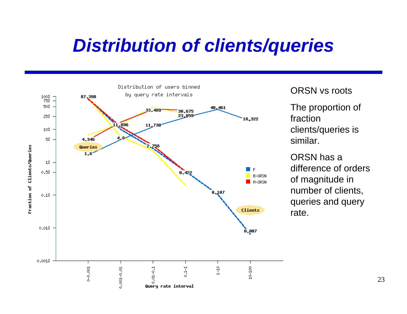

#### ORSN vs roots

The proportion of fraction clients/queries is similar.

ORSN has a difference of orders of magnitude in number of clients, queries and query rate.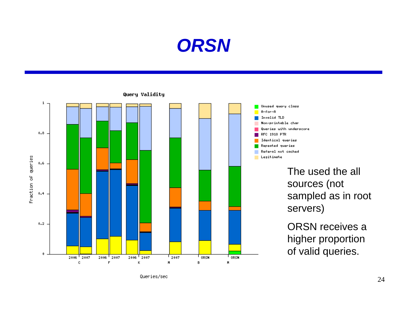



Queries/sec